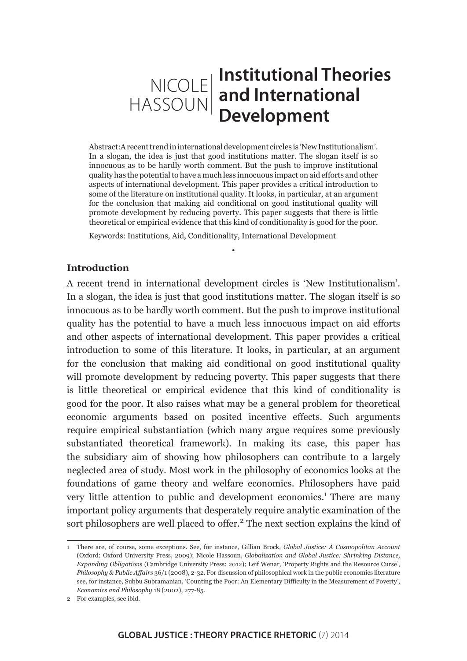## NICOLE HASSOUN **Institutional Theories and International Development**

Abstract:A recent trend in international development circles is 'New Institutionalism'. In a slogan, the idea is just that good institutions matter. The slogan itself is so innocuous as to be hardly worth comment. But the push to improve institutional quality has the potential to have a much less innocuous impact on aid efforts and other aspects of international development. This paper provides a critical introduction to some of the literature on institutional quality. It looks, in particular, at an argument for the conclusion that making aid conditional on good institutional quality will promote development by reducing poverty. This paper suggests that there is little theoretical or empirical evidence that this kind of conditionality is good for the poor.

•

Keywords: Institutions, Aid, Conditionality, International Development

#### **Introduction**

A recent trend in international development circles is 'New Institutionalism'. In a slogan, the idea is just that good institutions matter. The slogan itself is so innocuous as to be hardly worth comment. But the push to improve institutional quality has the potential to have a much less innocuous impact on aid efforts and other aspects of international development. This paper provides a critical introduction to some of this literature. It looks, in particular, at an argument for the conclusion that making aid conditional on good institutional quality will promote development by reducing poverty. This paper suggests that there is little theoretical or empirical evidence that this kind of conditionality is good for the poor. It also raises what may be a general problem for theoretical economic arguments based on posited incentive effects. Such arguments require empirical substantiation (which many argue requires some previously substantiated theoretical framework). In making its case, this paper has the subsidiary aim of showing how philosophers can contribute to a largely neglected area of study. Most work in the philosophy of economics looks at the foundations of game theory and welfare economics. Philosophers have paid very little attention to public and development economics.<sup>1</sup> There are many important policy arguments that desperately require analytic examination of the sort philosophers are well placed to offer.<sup>2</sup> The next section explains the kind of

<sup>1</sup> There are, of course, some exceptions. See, for instance, Gillian Brock, *Global Justice: A Cosmopolitan Account*  (Oxford: Oxford University Press, 2009); Nicole Hassoun, *Globalization and Global Justice: Shrinking Distance, Expanding Obligations* (Cambridge University Press: 2012); Leif Wenar, 'Property Rights and the Resource Curse', *Philosophy & Public Affairs* 36/1 (2008), 2-32. For discussion of philosophical work in the public economics literature see, for instance, Subbu Subramanian, 'Counting the Poor: An Elementary Difficulty in the Measurement of Poverty', *Economics and Philosophy* 18 (2002), 277-85.

<sup>2</sup> For examples, see ibid.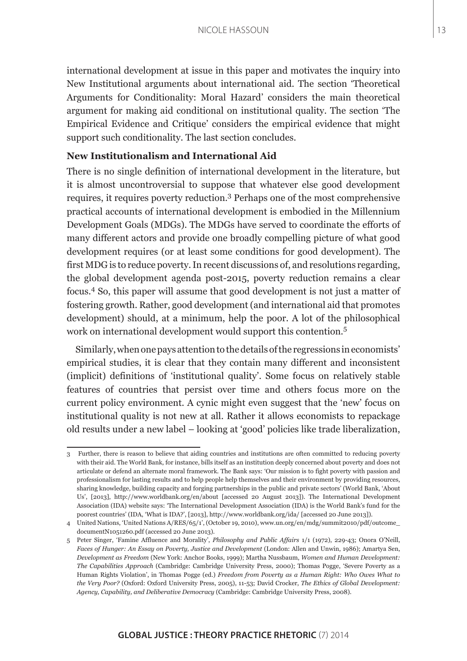international development at issue in this paper and motivates the inquiry into New Institutional arguments about international aid. The section 'Theoretical Arguments for Conditionality: Moral Hazard' considers the main theoretical argument for making aid conditional on institutional quality. The section 'The Empirical Evidence and Critique' considers the empirical evidence that might support such conditionality. The last section concludes.

## **New Institutionalism and International Aid**

There is no single definition of international development in the literature, but it is almost uncontroversial to suppose that whatever else good development requires, it requires poverty reduction.3 Perhaps one of the most comprehensive practical accounts of international development is embodied in the Millennium Development Goals (MDGs). The MDGs have served to coordinate the efforts of many different actors and provide one broadly compelling picture of what good development requires (or at least some conditions for good development). The first MDG is to reduce poverty. In recent discussions of, and resolutions regarding, the global development agenda post-2015, poverty reduction remains a clear focus.<sup>4</sup> So, this paper will assume that good development is not just a matter of fostering growth. Rather, good development (and international aid that promotes development) should, at a minimum, help the poor. A lot of the philosophical work on international development would support this contention.<sup>5</sup>

Similarly, when one pays attention to the details of the regressions in economists' empirical studies, it is clear that they contain many different and inconsistent (implicit) definitions of 'institutional quality'. Some focus on relatively stable features of countries that persist over time and others focus more on the current policy environment. A cynic might even suggest that the 'new' focus on institutional quality is not new at all. Rather it allows economists to repackage old results under a new label – looking at 'good' policies like trade liberalization,

<sup>3</sup> Further, there is reason to believe that aiding countries and institutions are often committed to reducing poverty with their aid. The World Bank, for instance, bills itself as an institution deeply concerned about poverty and does not articulate or defend an alternate moral framework. The Bank says: 'Our mission is to fight poverty with passion and professionalism for lasting results and to help people help themselves and their environment by providing resources, sharing knowledge, building capacity and forging partnerships in the public and private sectors' (World Bank, 'About Us', [2013], http://www.worldbank.org/en/about [accessed 20 August 2013]). The International Development Association (IDA) website says: 'The International Development Association (IDA) is the World Bank's fund for the poorest countries' (IDA, 'What is IDA?', [2013], http://www.worldbank.org/ida/ [accessed 20 June 2013]).

<sup>4</sup> United Nations, 'United Nations A/RES/65/1', (October 19, 2010), www.un.org/en/mdg/summit2010/pdf/outcome\_ documentN1051260.pdf (accessed 20 June 2013).

<sup>5</sup> Peter Singer, 'Famine Affluence and Morality', *Philosophy and Public Affairs* 1/1 (1972), 229-43; Onora O'Neill, *Faces of Hunger: An Essay on Poverty, Justice and Development* (London: Allen and Unwin, 1986); Amartya Sen, *Development as Freedom* (New York: Anchor Books, 1999); Martha Nussbaum, *Women and Human Development: The Capabilities Approach* (Cambridge: Cambridge University Press, 2000); Thomas Pogge, 'Severe Poverty as a Human Rights Violation', in Thomas Pogge (ed.) *Freedom from Poverty as a Human Right: Who Owes What to the Very Poor?* (Oxford: Oxford University Press, 2005), 11-53; David Crocker, *The Ethics of Global Development: Agency, Capability, and Deliberative Democracy* (Cambridge: Cambridge University Press, 2008).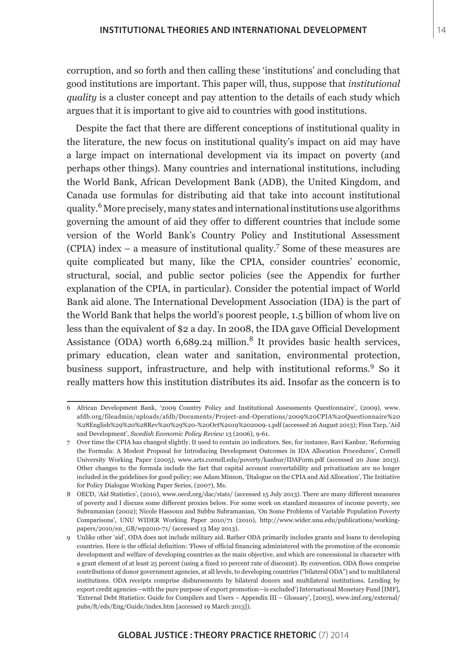corruption, and so forth and then calling these 'institutions' and concluding that good institutions are important. This paper will, thus, suppose that *institutional quality* is a cluster concept and pay attention to the details of each study which argues that it is important to give aid to countries with good institutions.

Despite the fact that there are different conceptions of institutional quality in the literature, the new focus on institutional quality's impact on aid may have a large impact on international development via its impact on poverty (and perhaps other things). Many countries and international institutions, including the World Bank, African Development Bank (ADB), the United Kingdom, and Canada use formulas for distributing aid that take into account institutional quality.<sup>6</sup> More precisely, many states and international institutions use algorithms governing the amount of aid they offer to different countries that include some version of the World Bank's Country Policy and Institutional Assessment  $(CPIA)$  index – a measure of institutional quality.<sup>7</sup> Some of these measures are quite complicated but many, like the CPIA, consider countries' economic, structural, social, and public sector policies (see the Appendix for further explanation of the CPIA, in particular). Consider the potential impact of World Bank aid alone. The International Development Association (IDA) is the part of the World Bank that helps the world's poorest people, 1.5 billion of whom live on less than the equivalent of \$2 a day. In 2008, the IDA gave Official Development Assistance (ODA) worth  $6,689.24$  million.<sup>8</sup> It provides basic health services, primary education, clean water and sanitation, environmental protection, business support, infrastructure, and help with institutional reforms.<sup>9</sup> So it really matters how this institution distributes its aid. Insofar as the concern is to

<sup>6</sup> African Development Bank, '2009 Country Policy and Institutional Assessments Questionnaire', (2009), www. afdb.org/fileadmin/uploads/afdb/Documents/Project-and-Operations/2009%20CPIA%20Questionnaire%20 %28English%29%20%28Rev%20%29%20-%20Oct%2019%202009-1.pdf (accessed 26 August 2013); Finn Tarp, 'Aid and Development', *Swedish Economic Policy Review* 13 (2006), 9-61.

<sup>7</sup> Over time the CPIA has changed slightly. It used to contain 20 indicators. See, for instance, Ravi Kanbur, 'Reforming the Formula: A Modest Proposal for Introducing Development Outcomes in IDA Allocation Procedures', Cornell University Working Paper (2005), www.arts.cornell.edu/poverty/kanbur/IDAForm.pdf (accessed 20 June 2013). Other changes to the formula include the fact that capital account convertability and privatization are no longer included in the guidelines for good policy; see Adam Minson, 'Dialogue on the CPIA and Aid Allocation', The Initiative for Policy Dialogue Working Paper Series, (2007), Ms.

<sup>8</sup> OECD, 'Aid Statistics', (2010), www.oecd.org/dac/stats/ (accessed 15 July 2013). There are many different measures of poverty and I discuss some different proxies below. For some work on standard measures of income poverty, see Subramanian (2002); Nicole Hassoun and Subbu Subramanian, 'On Some Problems of Variable Population Poverty Comparisons', UNU WIDER Working Paper 2010/71 (2010), http://www.wider.unu.edu/publications/workingpapers/2010/en\_GB/wp2010-71/ (accessed 13 May 2013).

<sup>9</sup> Unlike other 'aid', ODA does not include military aid. Rather ODA primarily includes grants and loans to developing countries. Here is the official definition: 'Flows of official financing administered with the promotion of the economic development and welfare of developing countries as the main objective, and which are concessional in character with a grant element of at least 25 percent (using a fixed 10 percent rate of discount). By convention, ODA flows comprise contributions of donor government agencies, at all levels, to developing countries ("bilateral ODA") and to multilateral institutions. ODA receipts comprise disbursements by bilateral donors and multilateral institutions. Lending by export credit agencies—with the pure purpose of export promotion—is excluded') International Monetary Fund [IMF], 'External Debt Statistics: Guide for Compilers and Users – Appendix III – Glossary', [2003], www.imf.org/external/ pubs/ft/eds/Eng/Guide/index.htm [accessed 19 March 2013]).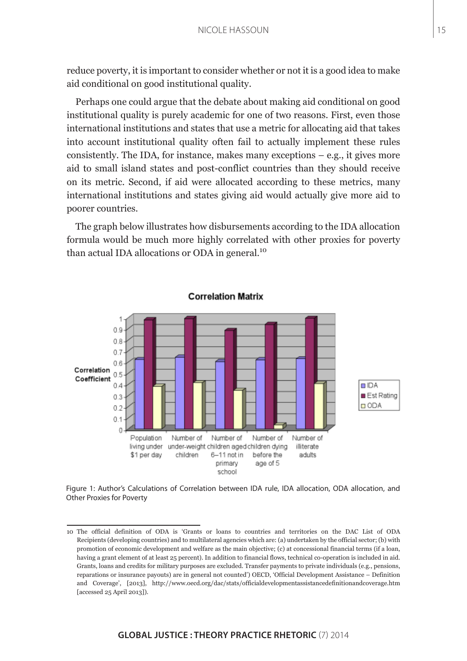reduce poverty, it is important to consider whether or not it is a good idea to make aid conditional on good institutional quality.

Perhaps one could argue that the debate about making aid conditional on good institutional quality is purely academic for one of two reasons. First, even those international institutions and states that use a metric for allocating aid that takes into account institutional quality often fail to actually implement these rules consistently. The IDA, for instance, makes many exceptions  $-$  e.g., it gives more aid to small island states and post-conflict countries than they should receive on its metric. Second, if aid were allocated according to these metrics, many international institutions and states giving aid would actually give more aid to poorer countries.

The graph below illustrates how disbursements according to the IDA allocation formula would be much more highly correlated with other proxies for poverty than actual IDA allocations or ODA in general.<sup>10</sup>



#### **Correlation Matrix**

Figure 1: Author's Calculations of Correlation between IDA rule, IDA allocation, ODA allocation, and Other Proxies for Poverty

<sup>10</sup> The official definition of ODA is 'Grants or loans to countries and territories on the DAC List of ODA Recipients (developing countries) and to multilateral agencies which are: (a) undertaken by the official sector; (b) with promotion of economic development and welfare as the main objective; (c) at concessional financial terms (if a loan, having a grant element of at least 25 percent). In addition to financial flows, technical co-operation is included in aid. Grants, loans and credits for military purposes are excluded. Transfer payments to private individuals (e.g., pensions, reparations or insurance payouts) are in general not counted') OECD, 'Official Development Assistance – Definition and Coverage', [2013], http://www.oecd.org/dac/stats/officialdevelopmentassistancedefinitionandcoverage.htm [accessed 25 April 2013]).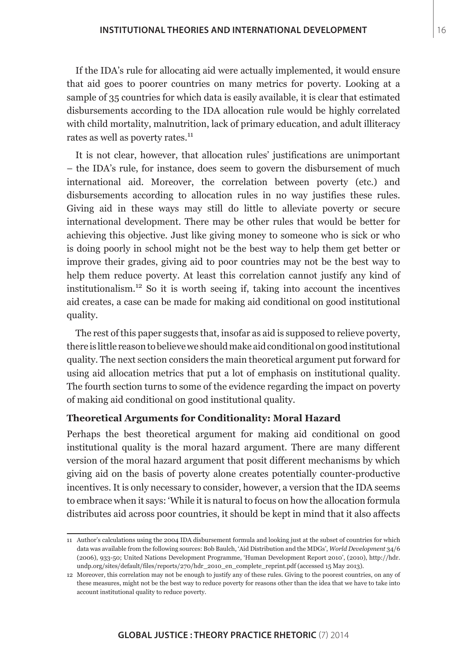If the IDA's rule for allocating aid were actually implemented, it would ensure that aid goes to poorer countries on many metrics for poverty. Looking at a sample of 35 countries for which data is easily available, it is clear that estimated disbursements according to the IDA allocation rule would be highly correlated with child mortality, malnutrition, lack of primary education, and adult illiteracy rates as well as poverty rates.<sup>11</sup>

It is not clear, however, that allocation rules' justifications are unimportant – the IDA's rule, for instance, does seem to govern the disbursement of much international aid. Moreover, the correlation between poverty (etc.) and disbursements according to allocation rules in no way justifies these rules. Giving aid in these ways may still do little to alleviate poverty or secure international development. There may be other rules that would be better for achieving this objective. Just like giving money to someone who is sick or who is doing poorly in school might not be the best way to help them get better or improve their grades, giving aid to poor countries may not be the best way to help them reduce poverty. At least this correlation cannot justify any kind of institutionalism.12 So it is worth seeing if, taking into account the incentives aid creates, a case can be made for making aid conditional on good institutional quality.

The rest of this paper suggests that, insofar as aid is supposed to relieve poverty, there is little reason to believe we should make aid conditional on good institutional quality. The next section considers the main theoretical argument put forward for using aid allocation metrics that put a lot of emphasis on institutional quality. The fourth section turns to some of the evidence regarding the impact on poverty of making aid conditional on good institutional quality.

#### **Theoretical Arguments for Conditionality: Moral Hazard**

Perhaps the best theoretical argument for making aid conditional on good institutional quality is the moral hazard argument. There are many different version of the moral hazard argument that posit different mechanisms by which giving aid on the basis of poverty alone creates potentially counter-productive incentives. It is only necessary to consider, however, a version that the IDA seems to embrace when it says: 'While it is natural to focus on how the allocation formula distributes aid across poor countries, it should be kept in mind that it also affects

<sup>11</sup> Author's calculations using the 2004 IDA disbursement formula and looking just at the subset of countries for which data was available from the following sources: Bob Baulch, 'Aid Distribution and the MDGs', *World Development* 34/6 (2006), 933-50; United Nations Development Programme, 'Human Development Report 2010', (2010), http://hdr. undp.org/sites/default/files/reports/270/hdr\_2010\_en\_complete\_reprint.pdf (accessed 15 May 2013).

<sup>12</sup> Moreover, this correlation may not be enough to justify any of these rules. Giving to the poorest countries, on any of these measures, might not be the best way to reduce poverty for reasons other than the idea that we have to take into account institutional quality to reduce poverty.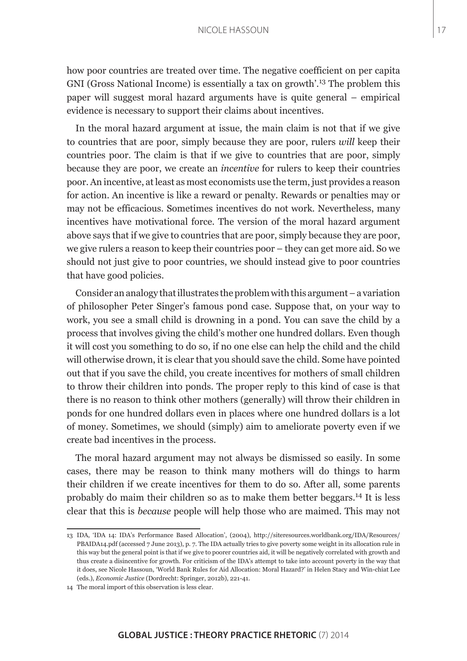how poor countries are treated over time. The negative coefficient on per capita GNI (Gross National Income) is essentially a tax on growth'.13 The problem this paper will suggest moral hazard arguments have is quite general – empirical evidence is necessary to support their claims about incentives.

In the moral hazard argument at issue, the main claim is not that if we give to countries that are poor, simply because they are poor, rulers *will* keep their countries poor. The claim is that if we give to countries that are poor, simply because they are poor, we create an *incentive* for rulers to keep their countries poor. An incentive, at least as most economists use the term, just provides a reason for action. An incentive is like a reward or penalty. Rewards or penalties may or may not be efficacious. Sometimes incentives do not work. Nevertheless, many incentives have motivational force. The version of the moral hazard argument above says that if we give to countries that are poor, simply because they are poor, we give rulers a reason to keep their countries poor – they can get more aid. So we should not just give to poor countries, we should instead give to poor countries that have good policies.

Consider an analogy that illustrates the problem with this argument – a variation of philosopher Peter Singer's famous pond case. Suppose that, on your way to work, you see a small child is drowning in a pond. You can save the child by a process that involves giving the child's mother one hundred dollars. Even though it will cost you something to do so, if no one else can help the child and the child will otherwise drown, it is clear that you should save the child. Some have pointed out that if you save the child, you create incentives for mothers of small children to throw their children into ponds. The proper reply to this kind of case is that there is no reason to think other mothers (generally) will throw their children in ponds for one hundred dollars even in places where one hundred dollars is a lot of money. Sometimes, we should (simply) aim to ameliorate poverty even if we create bad incentives in the process.

The moral hazard argument may not always be dismissed so easily. In some cases, there may be reason to think many mothers will do things to harm their children if we create incentives for them to do so. After all, some parents probably do maim their children so as to make them better beggars.14 It is less clear that this is *because* people will help those who are maimed. This may not

<sup>13</sup> IDA, 'IDA 14: IDA's Performance Based Allocation', (2004), http://siteresources.worldbank.org/IDA/Resources/ PBAIDA14.pdf (accessed 7 June 2013), p. 7. The IDA actually tries to give poverty some weight in its allocation rule in this way but the general point is that if we give to poorer countries aid, it will be negatively correlated with growth and thus create a disincentive for growth. For criticism of the IDA's attempt to take into account poverty in the way that it does, see Nicole Hassoun, 'World Bank Rules for Aid Allocation: Moral Hazard?' in Helen Stacy and Win-chiat Lee (eds.), *Economic Justice* (Dordrecht: Springer, 2012b), 221-41.

<sup>14</sup> The moral import of this observation is less clear.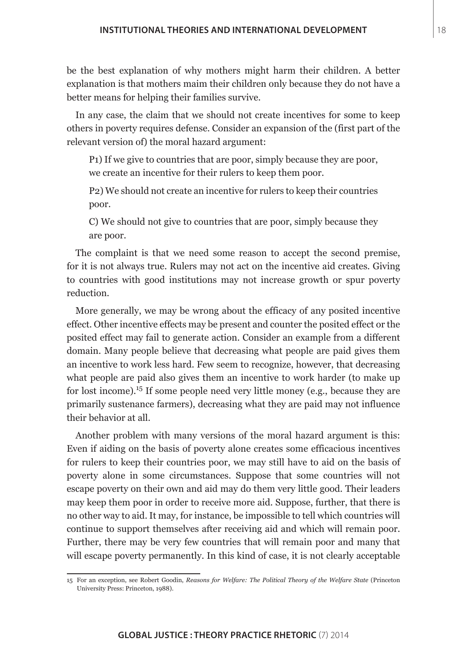be the best explanation of why mothers might harm their children. A better explanation is that mothers maim their children only because they do not have a better means for helping their families survive.

In any case, the claim that we should not create incentives for some to keep others in poverty requires defense. Consider an expansion of the (first part of the relevant version of) the moral hazard argument:

P1) If we give to countries that are poor, simply because they are poor, we create an incentive for their rulers to keep them poor.

P2) We should not create an incentive for rulers to keep their countries poor.

C) We should not give to countries that are poor, simply because they are poor.

The complaint is that we need some reason to accept the second premise, for it is not always true. Rulers may not act on the incentive aid creates. Giving to countries with good institutions may not increase growth or spur poverty reduction.

More generally, we may be wrong about the efficacy of any posited incentive effect. Other incentive effects may be present and counter the posited effect or the posited effect may fail to generate action. Consider an example from a different domain. Many people believe that decreasing what people are paid gives them an incentive to work less hard. Few seem to recognize, however, that decreasing what people are paid also gives them an incentive to work harder (to make up for lost income).15 If some people need very little money (e.g., because they are primarily sustenance farmers), decreasing what they are paid may not influence their behavior at all.

Another problem with many versions of the moral hazard argument is this: Even if aiding on the basis of poverty alone creates some efficacious incentives for rulers to keep their countries poor, we may still have to aid on the basis of poverty alone in some circumstances. Suppose that some countries will not escape poverty on their own and aid may do them very little good. Their leaders may keep them poor in order to receive more aid. Suppose, further, that there is no other way to aid. It may, for instance, be impossible to tell which countries will continue to support themselves after receiving aid and which will remain poor. Further, there may be very few countries that will remain poor and many that will escape poverty permanently. In this kind of case, it is not clearly acceptable

<sup>15</sup> For an exception, see Robert Goodin, *Reasons for Welfare: The Political Theory of the Welfare State* (Princeton University Press: Princeton, 1988).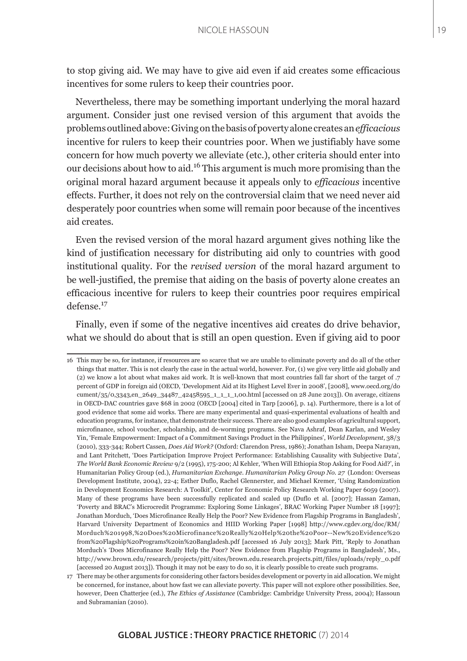to stop giving aid. We may have to give aid even if aid creates some efficacious incentives for some rulers to keep their countries poor.

Nevertheless, there may be something important underlying the moral hazard argument. Consider just one revised version of this argument that avoids the problems outlined above: Giving on the basis of poverty alone creates an *efficacious* incentive for rulers to keep their countries poor. When we justifiably have some concern for how much poverty we alleviate (etc.), other criteria should enter into our decisions about how to aid.16 This argument is much more promising than the original moral hazard argument because it appeals only to *efficacious* incentive effects. Further, it does not rely on the controversial claim that we need never aid desperately poor countries when some will remain poor because of the incentives aid creates.

Even the revised version of the moral hazard argument gives nothing like the kind of justification necessary for distributing aid only to countries with good institutional quality. For the *revised version* of the moral hazard argument to be well-justified, the premise that aiding on the basis of poverty alone creates an efficacious incentive for rulers to keep their countries poor requires empirical defense.<sup>17</sup>

Finally, even if some of the negative incentives aid creates do drive behavior, what we should do about that is still an open question. Even if giving aid to poor

<sup>16</sup> This may be so, for instance, if resources are so scarce that we are unable to eliminate poverty and do all of the other things that matter. This is not clearly the case in the actual world, however. For, (1) we give very little aid globally and (2) we know a lot about what makes aid work. It is well-known that most countries fall far short of the target of .7 percent of GDP in foreign aid (OECD, 'Development Aid at its Highest Level Ever in 2008', [2008], www.oecd.org/do cument/35/0,3343,en\_2649\_34487\_42458595\_1\_1\_1\_1,00.html [accessed on 28 June 2013]). On average, citizens in OECD-DAC countries gave \$68 in 2002 (OECD [2004] cited in Tarp [2006], p. 14). Furthermore, there is a lot of good evidence that some aid works. There are many experimental and quasi-experimental evaluations of health and education programs, for instance, that demonstrate their success. There are also good examples of agricultural support, microfinance, school voucher, scholarship, and de-worming programs. See Nava Ashraf, Dean Karlan, and Wesley Yin, 'Female Empowerment: Impact of a Commitment Savings Product in the Philippines', *World Development*, 38/3 (2010), 333-344; Robert Cassen, *Does Aid Work?* (Oxford: Clarendon Press, 1986); Jonathan Isham, Deepa Narayan, and Lant Pritchett, 'Does Participation Improve Project Performance: Establishing Causality with Subjective Data', *The World Bank Economic Review* 9/2 (1995), 175-200; Al Kehler, 'When Will Ethiopia Stop Asking for Food Aid?', in Humanitarian Policy Group (ed.), *Humanitarian Exchange. Humanitarian Policy Group No. 27* (London: Overseas Development Institute, 2004), 22-4; Esther Duflo, Rachel Glennerster, and Michael Kremer, 'Using Randomization in Development Economics Research: A Toolkit', Center for Economic Policy Research Working Paper 6059 (2007). Many of these programs have been successfully replicated and scaled up (Duflo et al. [2007]; Hassan Zaman, 'Poverty and BRAC's Microcredit Programme: Exploring Some Linkages', BRAC Working Paper Number 18 [1997]; Jonathan Morduch, 'Does Microfinance Really Help the Poor? New Evidence from Flagship Programs in Bangladesh', Harvard University Department of Economics and HIID Working Paper [1998] http://www.cgdev.org/doc/RM/ Morduch%201998,%20Does%20Microfinance%20Really%20Help%20the%20Poor--New%20Evidence%20 from%20Flagship%20Programs%20in%20Bangladesh.pdf [accessed 16 July 2013]; Mark Pitt, 'Reply to Jonathan Morduch's 'Does Microfinance Really Help the Poor? New Evidence from Flagship Programs in Bangladesh', Ms., http://www.brown.edu/research/projects/pitt/sites/brown.edu.research.projects.pitt/files/uploads/reply\_0.pdf [accessed 20 August 2013]). Though it may not be easy to do so, it is clearly possible to create such programs.

<sup>17</sup> There may be other arguments for considering other factors besides development or poverty in aid allocation. We might be concerned, for instance, about how fast we can alleviate poverty. This paper will not explore other possibilities. See, however, Deen Chatterjee (ed.), *The Ethics of Assistance* (Cambridge: Cambridge University Press, 2004); Hassoun and Subramanian (2010).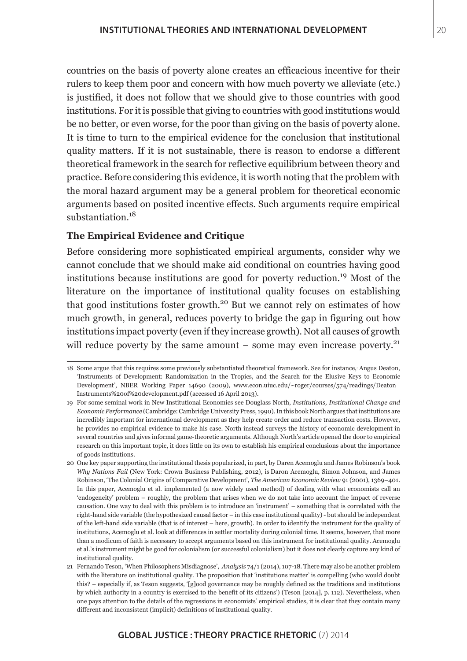countries on the basis of poverty alone creates an efficacious incentive for their rulers to keep them poor and concern with how much poverty we alleviate (etc.) is justified, it does not follow that we should give to those countries with good institutions. For it is possible that giving to countries with good institutions would be no better, or even worse, for the poor than giving on the basis of poverty alone. It is time to turn to the empirical evidence for the conclusion that institutional quality matters. If it is not sustainable, there is reason to endorse a different theoretical framework in the search for reflective equilibrium between theory and practice. Before considering this evidence, it is worth noting that the problem with the moral hazard argument may be a general problem for theoretical economic arguments based on posited incentive effects. Such arguments require empirical substantiation.<sup>18</sup>

#### **The Empirical Evidence and Critique**

Before considering more sophisticated empirical arguments, consider why we cannot conclude that we should make aid conditional on countries having good institutions because institutions are good for poverty reduction.19 Most of the literature on the importance of institutional quality focuses on establishing that good institutions foster growth.<sup>20</sup> But we cannot rely on estimates of how much growth, in general, reduces poverty to bridge the gap in figuring out how institutions impact poverty (even if they increase growth). Not all causes of growth will reduce poverty by the same amount – some may even increase poverty.<sup>21</sup>

<sup>18</sup> Some argue that this requires some previously substantiated theoretical framework. See for instance, Angus Deaton, 'Instruments of Development: Randomization in the Tropics, and the Search for the Elusive Keys to Economic Development', NBER Working Paper 14690 (2009), www.econ.uiuc.edu/~roger/courses/574/readings/Deaton\_ Instruments%20of%20development.pdf (accessed 16 April 2013).

<sup>19</sup> For some seminal work in New Institutional Economics see Douglass North, *Institutions, Institutional Change and Economic Performance* (Cambridge: Cambridge University Press, 1990). In this book North argues that institutions are incredibly important for international development as they help create order and reduce transaction costs. However, he provides no empirical evidence to make his case. North instead surveys the history of economic development in several countries and gives informal game-theoretic arguments. Although North's article opened the door to empirical research on this important topic, it does little on its own to establish his empirical conclusions about the importance of goods institutions.

<sup>20</sup> One key paper supporting the institutional thesis popularized, in part, by Daren Acemoglu and James Robinson's book *Why Nations Fail* (New York: Crown Business Publishing, 2012), is Daron Acemoglu, Simon Johnson, and James Robinson, 'The Colonial Origins of Comparative Development', *The American Economic Review* 91 (2001), 1369–401. In this paper, Acemoglu et al. implemented (a now widely used method) of dealing with what economists call an 'endogeneity' problem – roughly, the problem that arises when we do not take into account the impact of reverse causation. One way to deal with this problem is to introduce an 'instrument' – something that is correlated with the right-hand side variable (the hypothesized causal factor – in this case institutional quality) - but should be independent of the left-hand side variable (that is of interest – here, growth). In order to identify the instrument for the quality of institutions, Acemoglu et al. look at differences in settler mortality during colonial time. It seems, however, that more than a modicum of faith is necessary to accept arguments based on this instrument for institutional quality. Acemoglu et al.'s instrument might be good for colonialism (or successful colonialism) but it does not clearly capture any kind of institutional quality.

<sup>21</sup> Fernando Teson, 'When Philosophers Misdiagnose', *Analysis* 74/1 (2014), 107-18. There may also be another problem with the literature on institutional quality. The proposition that 'institutions matter' is compelling (who would doubt this? – especially if, as Teson suggests, '[g]ood governance may be roughly defined as the traditions and institutions by which authority in a country is exercised to the benefit of its citizens') (Teson [2014], p. 112). Nevertheless, when one pays attention to the details of the regressions in economists' empirical studies, it is clear that they contain many different and inconsistent (implicit) definitions of institutional quality.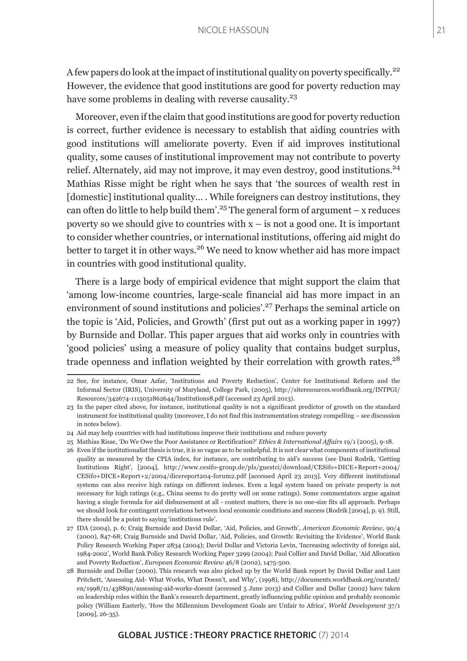A few papers do look at the impact of institutional quality on poverty specifically.<sup>22</sup> However, the evidence that good institutions are good for poverty reduction may have some problems in dealing with reverse causality.<sup>23</sup>

Moreover, even if the claim that good institutions are good for poverty reduction is correct, further evidence is necessary to establish that aiding countries with good institutions will ameliorate poverty. Even if aid improves institutional quality, some causes of institutional improvement may not contribute to poverty relief. Alternately, aid may not improve, it may even destroy, good institutions.<sup>24</sup> Mathias Risse might be right when he says that 'the sources of wealth rest in [domestic] institutional quality... . While foreigners can destroy institutions, they can often do little to help build them'.<sup>25</sup> The general form of argument – x reduces poverty so we should give to countries with  $x - i$  is not a good one. It is important to consider whether countries, or international institutions, offering aid might do better to target it in other ways.26 We need to know whether aid has more impact in countries with good institutional quality.

There is a large body of empirical evidence that might support the claim that 'among low-income countries, large-scale financial aid has more impact in an environment of sound institutions and policies'.<sup>27</sup> Perhaps the seminal article on the topic is 'Aid, Policies, and Growth' (first put out as a working paper in 1997) by Burnside and Dollar. This paper argues that aid works only in countries with 'good policies' using a measure of policy quality that contains budget surplus, trade openness and inflation weighted by their correlation with growth rates.<sup>28</sup>

<sup>22</sup> See, for instance, Omar Azfar, 'Institutions and Poverty Reduction', Center for Institutional Reform and the Informal Sector (IRIS), University of Maryland, College Park, (2005), http://siteresources.worldbank.org/INTPGI/ Resources/342674-1115051862644/Institutions8.pdf (accessed 23 April 2013).

<sup>23</sup> In the paper cited above, for instance, institutional quality is not a significant predictor of growth on the standard instrument for institutional quality (moreover, I do not find this instrumentation strategy compelling – see discussion in notes below).

<sup>24</sup> Aid may help countries with bad institutions improve their institutions and reduce poverty

<sup>25</sup> Mathias Risse, 'Do We Owe the Poor Assistance or Rectification?' *Ethics & International Affairs* 19/1 (2005), 9-18.

<sup>26</sup> Even if the institutionalist thesis is true, it is so vague as to be unhelpful. It is not clear what components of institutional quality as measured by the CPIA index, for instance, are contributing to aid's success (see Dani Rodrik, 'Getting Institutions Right', [2004], http://www.cesifo-group.de/pls/guestci/download/CESifo+DICE+Report+2004/ CESifo+DICE+Report+2/2004/dicereport204-forum2.pdf [accessed April 23 2013]. Very different institutional systems can also receive high ratings on different indexes. Even a legal system based on private property is not necessary for high ratings (e.g., China seems to do pretty well on some ratings). Some commentators argue against having a single formula for aid disbursement at all - context matters, there is no one-size fits all approach. Perhaps we should look for contingent correlations between local economic conditions and success (Rodrik [2004], p. 9). Still, there should be a point to saying 'institutions rule'.

<sup>27</sup> IDA (2004), p. 6; Craig Burnside and David Dollar, 'Aid, Policies, and Growth', *American Economic Review*, 90/4 (2000), 847-68; Craig Burnside and David Dollar, 'Aid, Policies, and Growth: Revisiting the Evidence', World Bank Policy Research Working Paper 2834 (2004); David Dollar and Victoria Levin, 'Increasing selectivity of foreign aid, 1984-2002', World Bank Policy Research Working Paper 3299 (2004); Paul Collier and David Dollar, 'Aid Allocation and Poverty Reduction', *European Economic Review* 46/8 (2002), 1475-500.

<sup>28</sup> Burnside and Dollar (2000). This research was also picked up by the World Bank report by David Dollar and Lant Pritchett, 'Assessing Aid- What Works, What Doesn't, and Why', (1998), http://documents.worldbank.org/curated/ en/1998/11/438890/assessing-aid-works-doesnt (accessed 5 June 2013) and Collier and Dollar (2002) have taken on leadership roles within the Bank's research department, greatly influencing public opinion and probably economic policy (William Easterly, 'How the Millennium Development Goals are Unfair to Africa', *World Development* 37/1 [2009], 26-35).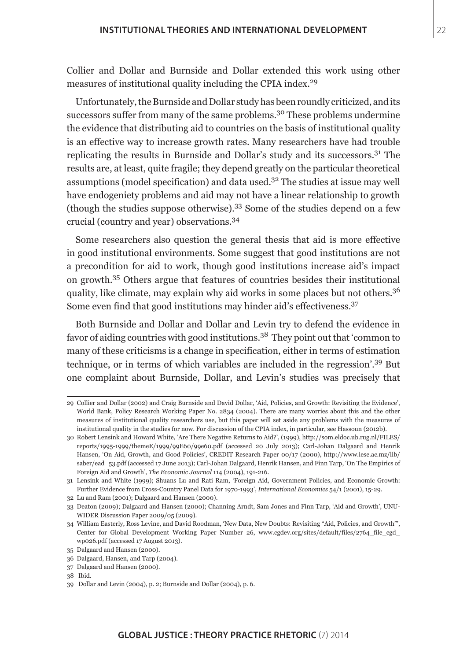Collier and Dollar and Burnside and Dollar extended this work using other measures of institutional quality including the CPIA index.<sup>29</sup>

Unfortunately, the Burnside and Dollar study has been roundly criticized, and its successors suffer from many of the same problems.<sup>30</sup> These problems undermine the evidence that distributing aid to countries on the basis of institutional quality is an effective way to increase growth rates. Many researchers have had trouble replicating the results in Burnside and Dollar's study and its successors.31 The results are, at least, quite fragile; they depend greatly on the particular theoretical assumptions (model specification) and data used.32 The studies at issue may well have endogeniety problems and aid may not have a linear relationship to growth (though the studies suppose otherwise).33 Some of the studies depend on a few crucial (country and year) observations.<sup>34</sup>

Some researchers also question the general thesis that aid is more effective in good institutional environments. Some suggest that good institutions are not a precondition for aid to work, though good institutions increase aid's impact on growth.35 Others argue that features of countries besides their institutional quality, like climate, may explain why aid works in some places but not others.<sup>36</sup> Some even find that good institutions may hinder aid's effectiveness.<sup>37</sup>

Both Burnside and Dollar and Dollar and Levin try to defend the evidence in favor of aiding countries with good institutions.38 They point out that 'common to many of these criticisms is a change in specification, either in terms of estimation technique, or in terms of which variables are included in the regression'.39 But one complaint about Burnside, Dollar, and Levin's studies was precisely that

<sup>29</sup> Collier and Dollar (2002) and Craig Burnside and David Dollar, 'Aid, Policies, and Growth: Revisiting the Evidence', World Bank, Policy Research Working Paper No. 2834 (2004). There are many worries about this and the other measures of institutional quality researchers use, but this paper will set aside any problems with the measures of institutional quality in the studies for now. For discussion of the CPIA index, in particular, see Hassoun (2012b).

<sup>30</sup> Robert Lensink and Howard White, 'Are There Negative Returns to Aid?', (1999), http://som.eldoc.ub.rug.nl/FILES/ reports/1995-1999/themeE/1999/99E60/99e60.pdf (accessed 20 July 2013); Carl-Johan Dalgaard and Henrik Hansen, 'On Aid, Growth, and Good Policies', CREDIT Research Paper 00/17 (2000), http://www.iese.ac.mz/lib/ saber/ead\_53.pdf (accessed 17 June 2013); Carl-Johan Dalgaard, Henrik Hansen, and Finn Tarp, 'On The Empirics of Foreign Aid and Growth', *The Economic Journal* 114 (2004), 191-216.

<sup>31</sup> Lensink and White (1999); Shuans Lu and Rati Ram, 'Foreign Aid, Government Policies, and Economic Growth: Further Evidence from Cross-Country Panel Data for 1970-1993', *International Economics* 54/1 (2001), 15-29.

<sup>32</sup> Lu and Ram (2001); Dalgaard and Hansen (2000).

<sup>33</sup> Deaton (2009); Dalgaard and Hansen (2000); Channing Arndt, Sam Jones and Finn Tarp, 'Aid and Growth', UNU-WIDER Discussion Paper 2009/05 (2009).

<sup>34</sup> William Easterly, Ross Levine, and David Roodman, 'New Data, New Doubts: Revisiting "Aid, Policies, and Growth"', Center for Global Development Working Paper Number 26, www.cgdev.org/sites/default/files/2764 file cgd wp026.pdf (accessed 17 August 2013).

<sup>35</sup> Dalgaard and Hansen (2000).

<sup>36</sup> Dalgaard, Hansen, and Tarp (2004).

<sup>37</sup> Dalgaard and Hansen (2000).

<sup>38</sup> Ibid.

<sup>39</sup> Dollar and Levin (2004), p. 2; Burnside and Dollar (2004), p. 6.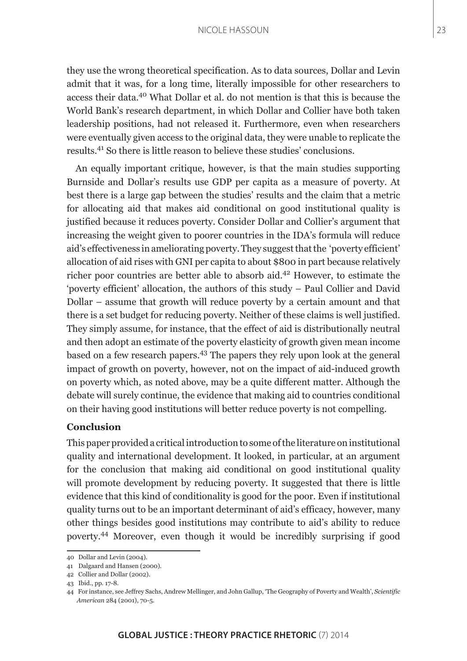#### NICOLE HASSOUN

they use the wrong theoretical specification. As to data sources, Dollar and Levin admit that it was, for a long time, literally impossible for other researchers to access their data.40 What Dollar et al. do not mention is that this is because the World Bank's research department, in which Dollar and Collier have both taken leadership positions, had not released it. Furthermore, even when researchers were eventually given access to the original data, they were unable to replicate the results.41 So there is little reason to believe these studies' conclusions.

An equally important critique, however, is that the main studies supporting Burnside and Dollar's results use GDP per capita as a measure of poverty. At best there is a large gap between the studies' results and the claim that a metric for allocating aid that makes aid conditional on good institutional quality is justified because it reduces poverty. Consider Dollar and Collier's argument that increasing the weight given to poorer countries in the IDA's formula will reduce aid's effectiveness in ameliorating poverty. They suggest that the 'poverty efficient' allocation of aid rises with GNI per capita to about \$800 in part because relatively richer poor countries are better able to absorb aid.42 However, to estimate the 'poverty efficient' allocation, the authors of this study – Paul Collier and David Dollar – assume that growth will reduce poverty by a certain amount and that there is a set budget for reducing poverty. Neither of these claims is well justified. They simply assume, for instance, that the effect of aid is distributionally neutral and then adopt an estimate of the poverty elasticity of growth given mean income based on a few research papers.43 The papers they rely upon look at the general impact of growth on poverty, however, not on the impact of aid-induced growth on poverty which, as noted above, may be a quite different matter. Although the debate will surely continue, the evidence that making aid to countries conditional on their having good institutions will better reduce poverty is not compelling.

#### **Conclusion**

This paper provided a critical introduction to some of the literature on institutional quality and international development. It looked, in particular, at an argument for the conclusion that making aid conditional on good institutional quality will promote development by reducing poverty. It suggested that there is little evidence that this kind of conditionality is good for the poor. Even if institutional quality turns out to be an important determinant of aid's efficacy, however, many other things besides good institutions may contribute to aid's ability to reduce poverty.44 Moreover, even though it would be incredibly surprising if good

<sup>40</sup> Dollar and Levin (2004).

<sup>41</sup> Dalgaard and Hansen (2000).

<sup>42</sup> Collier and Dollar (2002).

<sup>43</sup> Ibid., pp. 17-8.

<sup>44</sup> For instance, see Jeffrey Sachs, Andrew Mellinger, and John Gallup, 'The Geography of Poverty and Wealth', *Scientific American* 284 (2001), 70-5.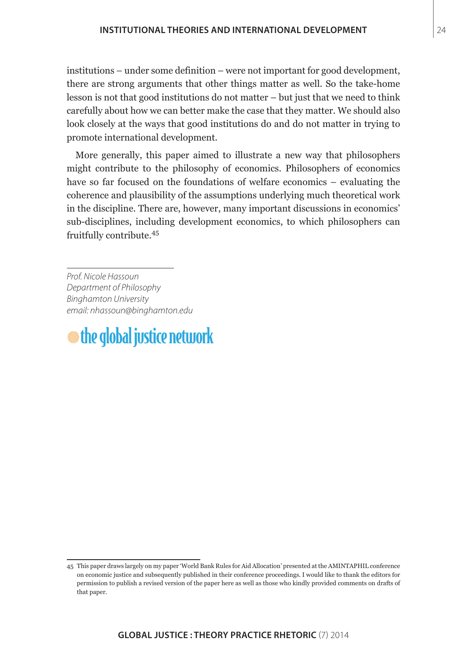institutions – under some definition – were not important for good development, there are strong arguments that other things matter as well. So the take-home lesson is not that good institutions do not matter – but just that we need to think carefully about how we can better make the case that they matter. We should also look closely at the ways that good institutions do and do not matter in trying to promote international development.

More generally, this paper aimed to illustrate a new way that philosophers might contribute to the philosophy of economics. Philosophers of economics have so far focused on the foundations of welfare economics – evaluating the coherence and plausibility of the assumptions underlying much theoretical work in the discipline. There are, however, many important discussions in economics' sub-disciplines, including development economics, to which philosophers can fruitfully contribute.<sup>45</sup>

*Prof. Nicole Hassoun Department of Philosophy Binghamton University email: nhassoun@binghamton.edu*

# $\bullet$  the global justice network

<sup>45</sup> This paper draws largely on my paper 'World Bank Rules for Aid Allocation' presented at the AMINTAPHIL conference on economic justice and subsequently published in their conference proceedings. I would like to thank the editors for permission to publish a revised version of the paper here as well as those who kindly provided comments on drafts of that paper.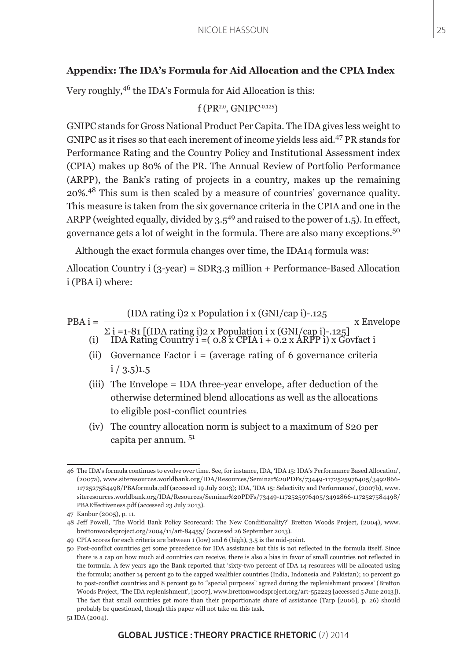### **Appendix: The IDA's Formula for Aid Allocation and the CPIA Index**

Very roughly,46 the IDA's Formula for Aid Allocation is this:

$$
f(PR^{2.0}, \text{GNIPC}^{0.125})
$$

GNIPC stands for Gross National Product Per Capita. The IDA gives less weight to GNIPC as it rises so that each increment of income yields less aid.47 PR stands for Performance Rating and the Country Policy and Institutional Assessment index (CPIA) makes up 80% of the PR. The Annual Review of Portfolio Performance (ARPP), the Bank's rating of projects in a country, makes up the remaining 20%.48 This sum is then scaled by a measure of countries' governance quality. This measure is taken from the six governance criteria in the CPIA and one in the ARPP (weighted equally, divided by  $3.5^{49}$  and raised to the power of 1.5). In effect, governance gets a lot of weight in the formula. There are also many exceptions.<sup>50</sup>

Although the exact formula changes over time, the IDA14 formula was:

Allocation Country i (3-year) = SDR3.3 million + Performance-Based Allocation i (PBA i) where:

$$
PBA i = \frac{(IDA rating i) 2 \times Population i x (GNI/cap i) -.125}{\sum i = 1-81 [(IDA rating i) 2 \times Population i x (GNI/cap i) -.125]} \times Envelope
$$
  
(i) IDA Rating Country i = ( 0.8 x CPIA i + 0.2 x ARPP i) x Govfact i

- (ii) Governance Factor  $i = (average rating of 6 governance criteria)$  $i / 3.5$ )1.5
- (iii) The Envelope = IDA three-year envelope, after deduction of the otherwise determined blend allocations as well as the allocations to eligible post-conflict countries
- (iv) The country allocation norm is subject to a maximum of \$20 per capita per annum. <sup>51</sup>

<sup>46</sup> The IDA's formula continues to evolve over time. See, for instance, IDA, 'IDA 15: IDA's Performance Based Allocation', (2007a), www.siteresources.worldbank.org/IDA/Resources/Seminar%20PDFs/73449-1172525976405/3492866- 1172527584498/PBAformula.pdf (accessed 19 July 2013); IDA, 'IDA 15: Selectivity and Performance', (2007b), www. siteresources.worldbank.org/IDA/Resources/Seminar%20PDFs/73449-1172525976405/3492866-1172527584498/ PBAEffectiveness.pdf (accessed 23 July 2013).

<sup>47</sup> Kanbur (2005), p. 11.

<sup>48</sup> Jeff Powell, 'The World Bank Policy Scorecard: The New Conditionality?' Bretton Woods Project, (2004), www. brettonwoodsproject.org/2004/11/art-84455/ (accessed 26 September 2013).

<sup>49</sup> CPIA scores for each criteria are between 1 (low) and 6 (high), 3.5 is the mid-point.

<sup>50</sup> Post-conflict countries get some precedence for IDA assistance but this is not reflected in the formula itself. Since there is a cap on how much aid countries can receive, there is also a bias in favor of small countries not reflected in the formula. A few years ago the Bank reported that 'sixty-two percent of IDA 14 resources will be allocated using the formula; another 14 percent go to the capped wealthier countries (India, Indonesia and Pakistan); 10 percent go to post-conflict countries and 8 percent go to "special purposes" agreed during the replenishment process' (Bretton Woods Project, 'The IDA replenishment', [2007], www.brettonwoodsproject.org/art-552223 [accessed 5 June 2013]). The fact that small countries get more than their proportionate share of assistance (Tarp [2006], p. 26) should probably be questioned, though this paper will not take on this task.

<sup>51</sup> IDA (2004).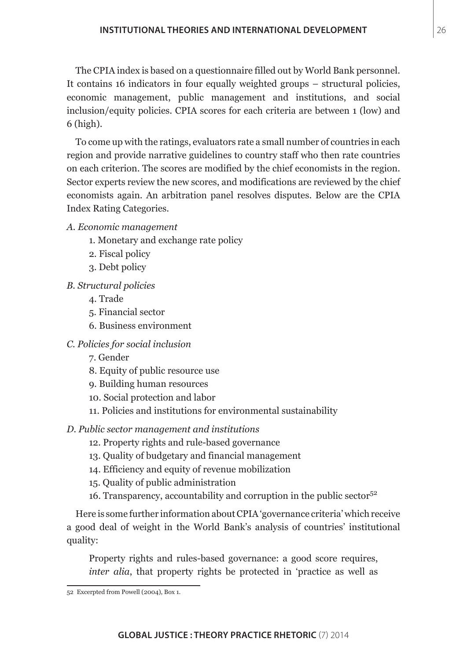The CPIA index is based on a questionnaire filled out by World Bank personnel. It contains 16 indicators in four equally weighted groups – structural policies, economic management, public management and institutions, and social inclusion/equity policies. CPIA scores for each criteria are between 1 (low) and 6 (high).

To come up with the ratings, evaluators rate a small number of countries in each region and provide narrative guidelines to country staff who then rate countries on each criterion. The scores are modified by the chief economists in the region. Sector experts review the new scores, and modifications are reviewed by the chief economists again. An arbitration panel resolves disputes. Below are the CPIA Index Rating Categories.

- *A. Economic management*
	- 1. Monetary and exchange rate policy
	- 2. Fiscal policy
	- 3. Debt policy
- *B. Structural policies*
	- 4. Trade
	- 5. Financial sector
	- 6. Business environment
- *C. Policies for social inclusion*
	- 7. Gender
	- 8. Equity of public resource use
	- 9. Building human resources
	- 10. Social protection and labor
	- 11. Policies and institutions for environmental sustainability
- *D. Public sector management and institutions*
	- 12. Property rights and rule-based governance
	- 13. Quality of budgetary and financial management
	- 14. Efficiency and equity of revenue mobilization
	- 15. Quality of public administration
	- 16. Transparency, accountability and corruption in the public sector<sup>52</sup>

Here is some further information about CPIA 'governance criteria' which receive a good deal of weight in the World Bank's analysis of countries' institutional quality:

Property rights and rules-based governance: a good score requires, *inter alia*, that property rights be protected in 'practice as well as

<sup>52</sup> Excerpted from Powell (2004), Box 1.